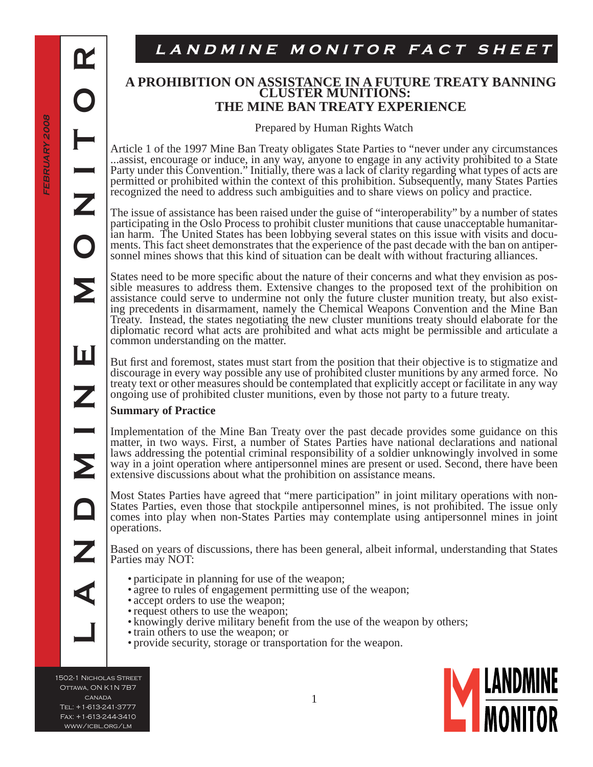$\mathbf{R}% _{t}$ 

**LANDMINE MONITOR**

Ш

# LANDMINE MONITOR FACT SHEET

## **A PROHIBITION ON ASSISTANCE IN A FUTURE TREATY BANNING CLUSTER MUNITIONS: THE MINE BAN TREATY EXPERIENCE**

Prepared by Human Rights Watch

Article 1 of the 1997 Mine Ban Treaty obligates State Parties to "never under any circumstances ...assist, encourage or induce, in any way, anyone to engage in any activity prohibited to a State Party under this Convention." Initially, there was a lack of clarity regarding what types of acts are permitted or prohibited within the context of this prohibition. Subsequently, many States Parties recognized the need to address such ambiguities and to share views on policy and practice.

The issue of assistance has been raised under the guise of "interoperability" by a number of states participating in the Oslo Process to prohibit cluster munitions that cause unacceptable humanitarian harm. The United States has been lobbying several states on this issue with visits and documents. This fact sheet demonstrates that the experience of the past decade with the ban on antipersonnel mines shows that this kind of situation can be dealt with without fracturing alliances.

States need to be more specific about the nature of their concerns and what they envision as possible measures to address them. Extensive changes to the proposed text of the prohibition on assistance could serve to undermine not only the future cluster munition treaty, but also existing precedents in disarmament, namely the Chemical Weapons Convention and the Mine Ban Treaty. Instead, the states negotiating the new cluster munitions treaty should elaborate for the diplomatic record what acts are prohibited and what acts might be permissible and articulate a common understanding on the matter.

But first and foremost, states must start from the position that their objective is to stigmatize and discourage in every way possible any use of prohibited cluster munitions by any armed force. No treaty text or other measures should be contemplated that explicitly accept or facilitate in any way ongoing use of prohibited cluster munitions, even by those not party to a future treaty.

## **Summary of Practice**

Implementation of the Mine Ban Treaty over the past decade provides some guidance on this matter, in two ways. First, a number of States Parties have national declarations and national laws addressing the potential criminal responsibility of a soldier unknowingly involved in some way in a joint operation where antipersonnel mines are present or used. Second, there have been extensive discussions about what the prohibition on assistance means.

Most States Parties have agreed that "mere participation" in joint military operations with non-States Parties, even those that stockpile antipersonnel mines, is not prohibited. The issue only comes into play when non-States Parties may contemplate using antipersonnel mines in joint operations.

Based on years of discussions, there has been general, albeit informal, understanding that States Parties may NOT:

- participate in planning for use of the weapon;
- agree to rules of engagement permitting use of the weapon;
- accept orders to use the weapon;
- request others to use the weapon;
- knowingly derive military benefit from the use of the weapon by others;
- train others to use the weapon; or
- provide security, storage or transportation for the weapon. •

1502-1 Nicholas Street Ottawa, ON K1N 7B7 canada Tel: +1-613-241-3777 Fax: +1-613-244-3410 www/icbl.org/lm

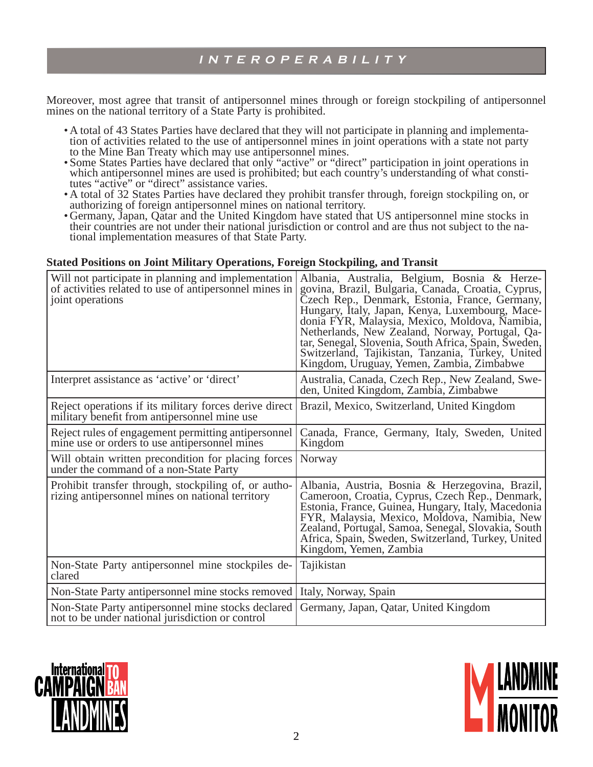Moreover, most agree that transit of antipersonnel mines through or foreign stockpiling of antipersonnel mines on the national territory of a State Party is prohibited.

- A total of 43 States Parties have declared that they will not participate in planning and implementa-• tion of activities related to the use of antipersonnel mines in joint operations with a state not party to the Mine Ban Treaty which may use antipersonnel mines.
- Some States Parties have declared that only "active" or "direct" participation in joint operations in which antipersonnel mines are used is prohibited; but each country's understanding of what constitutes "active" or "direct" assistance varies. •
- A total of 32 States Parties have declared they prohibit transfer through, foreign stockpiling on, or authorizing of foreign antipersonnel mines on national territory.
- Germany, Japan, Qatar and the United Kingdom have stated that US antipersonnel mine stocks in their countries are not under their national jurisdiction or control and are thus not subject to the national implementation measures of that State Party.

## **Stated Positions on Joint Military Operations, Foreign Stockpiling, and Transit**

| Will not participate in planning and implementation<br>of activities related to use of antipersonnel mines in<br>joint operations | Albania, Australia, Belgium, Bosnia & Herze-<br>govina, Brazil, Bulgaria, Canada, Croatia, Cyprus,<br>Czech Rep., Denmark, Estonia, France, Germany,<br>Hungary, Italy, Japan, Kenya, Luxembourg, Mace-<br>donia FYR, Malaysia, Mexico, Moldova, Namibia,<br>Netherlands, New Zealand, Norway, Portugal, Qa-<br>tar, Senegal, Slovenia, South Africa, Spain, Šweden,<br>Switzerland, Tajikistan, Tanzania, Turkey, United<br>Kingdom, Uruguay, Yemen, Zambia, Zimbabwe |
|-----------------------------------------------------------------------------------------------------------------------------------|------------------------------------------------------------------------------------------------------------------------------------------------------------------------------------------------------------------------------------------------------------------------------------------------------------------------------------------------------------------------------------------------------------------------------------------------------------------------|
| Interpret assistance as 'active' or 'direct'                                                                                      | Australia, Canada, Czech Rep., New Zealand, Swe-<br>den, United Kingdom, Zambia, Zimbabwe                                                                                                                                                                                                                                                                                                                                                                              |
| Reject operations if its military forces derive direct<br>military benefit from antipersonnel mine use                            | Brazil, Mexico, Switzerland, United Kingdom                                                                                                                                                                                                                                                                                                                                                                                                                            |
| Reject rules of engagement permitting antipersonnel<br>mine use or orders to use antipersonnel mines                              | Canada, France, Germany, Italy, Sweden, United<br>Kingdom                                                                                                                                                                                                                                                                                                                                                                                                              |
| Will obtain written precondition for placing forces<br>under the command of a non-State Party                                     | Norway                                                                                                                                                                                                                                                                                                                                                                                                                                                                 |
| Prohibit transfer through, stockpiling of, or autho-<br>rizing antipersonnel mines on national territory                          | Albania, Austria, Bosnia & Herzegovina, Brazil,<br>Cameroon, Croatia, Cyprus, Czech Řep., Denmark,<br>Estonia, France, Guinea, Hungary, Italy, Macedonia<br>FYR, Malaysia, Mexico, Moldova, Namibia, New<br>Zealand, Portugal, Samoa, Senegal, Slovakia, South<br>Africa, Spain, Sweden, Switzerland, Turkey, United<br>Kingdom, Yemen, Zambia                                                                                                                         |
| Non-State Party antipersonnel mine stockpiles de-<br>clared                                                                       | Tajikistan                                                                                                                                                                                                                                                                                                                                                                                                                                                             |
| Non-State Party antipersonnel mine stocks removed                                                                                 | Italy, Norway, Spain                                                                                                                                                                                                                                                                                                                                                                                                                                                   |
| Non-State Party antipersonnel mine stocks declared<br>not to be under national jurisdiction or control                            | Germany, Japan, Qatar, United Kingdom                                                                                                                                                                                                                                                                                                                                                                                                                                  |



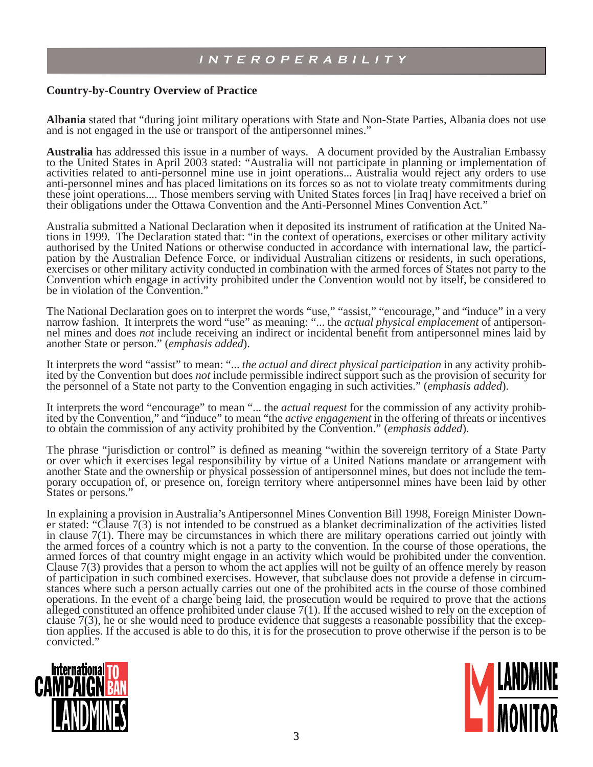#### **Country-by-Country Overview of Practice**

**Albania** stated that "during joint military operations with State and Non-State Parties, Albania does not use and is not engaged in the use or transport of the antipersonnel mines."

**Australia** has addressed this issue in a number of ways. A document provided by the Australian Embassy to the United States in April 2003 stated: "Australia will not participate in planning or implementation of activities related to anti-personnel mine use in joint operations... Australia would reject any orders to use anti-personnel mines and has placed limitations on its forces so as not to violate treaty commitments during these joint operations.... Those members serving with United States forces [in Iraq] have received a brief on their obligations under the Ottawa Convention and the Anti-Personnel Mines Convention Act."

Australia submitted a National Declaration when it deposited its instrument of ratification at the United Nations in 1999. The Declaration stated that: "in the context of operations, exercises or other military activity authorised by the United Nations or otherwise conducted in accordance with international law, the participation by the Australian Defence Force, or individual Australian citizens or residents, in such operations, exercises or other military activity conducted in combination with the armed forces of States not party to the Convention which engage in activity prohibited under the Convention would not by itself, be considered to be in violation of the Convention."

The National Declaration goes on to interpret the words "use," "assist," "encourage," and "induce" in a very narrow fashion. It interprets the word "use" as meaning: "... the *actual physical emplacement* of antipersonnel mines and does *not* include receiving an indirect or incidental benefit from antipersonnel mines laid by another State or person." (*emphasis added*).

It interprets the word "assist" to mean: "... *the actual and direct physical participation* in any activity prohibited by the Convention but does *not* include permissible indirect support such as the provision of security for the personnel of a State not party to the Convention engaging in such activities." (*emphasis added*).

It interprets the word "encourage" to mean "... the *actual request* for the commission of any activity prohibited by the Convention," and "induce" to mean "the *active engagement* in the offering of threats or incentives to obtain the commission of any activity prohibited by the Convention." (*emphasis added*).

The phrase "jurisdiction or control" is defined as meaning "within the sovereign territory of a State Party or over which it exercises legal responsibility by virtue of a United Nations mandate or arrangement with another State and the ownership or physical possession of antipersonnel mines, but does not include the temporary occupation of, or presence on, foreign territory where antipersonnel mines have been laid by other States or persons."

In explaining a provision in Australia's Antipersonnel Mines Convention Bill 1998, Foreign Minister Downer stated: "Clause 7(3) is not intended to be construed as a blanket decriminalization of the activities listed in clause 7(1). There may be circumstances in which there are military operations carried out jointly with the armed forces of a country which is not a party to the convention. In the course of those operations, the armed forces of that country might engage in an activity which would be prohibited under the convention. Clause 7(3) provides that a person to whom the act applies will not be guilty of an offence merely by reason of participation in such combined exercises. However, that subclause does not provide a defense in circumstances where such a person actually carries out one of the prohibited acts in the course of those combined operations. In the event of a charge being laid, the prosecution would be required to prove that the actions alleged constituted an offence prohibited under clause 7(1). If the accused wished to rely on the exception of clause 7(3), he or she would need to produce evidence that suggests a reasonable possibility that the exception applies. If the accused is able to do this, it is for the prosecution to prove otherwise if the person is to be convicted."



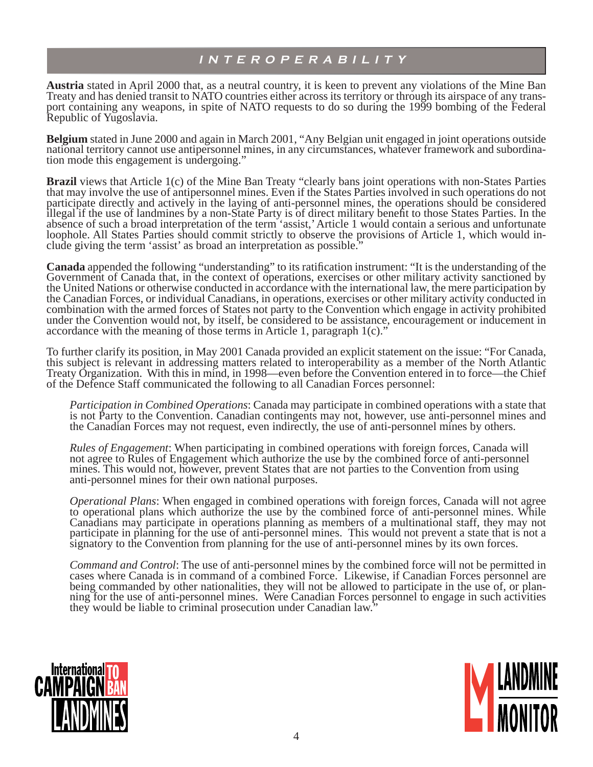**Austria** stated in April 2000 that, as a neutral country, it is keen to prevent any violations of the Mine Ban Treaty and has denied transit to NATO countries either across its territory or through its airspace of any transport containing any weapons, in spite of NATO requests to do so during the 1999 bombing of the Federal Republic of Yugoslavia.

**Belgium** stated in June 2000 and again in March 2001, "Any Belgian unit engaged in joint operations outside national territory cannot use antipersonnel mines, in any circumstances, whatever framework and subordination mode this engagement is undergoing."

**Brazil** views that Article 1(c) of the Mine Ban Treaty "clearly bans joint operations with non-States Parties that may involve the use of antipersonnel mines. Even if the States Parties involved in such operations do not participate directly and actively in the laying of anti-personnel mines, the operations should be considered illegal if the use of landmines by a non-State Party is of direct military benefi t to those States Parties. In the absence of such a broad interpretation of the term 'assist,' Article 1 would contain a serious and unfortunate loophole. All States Parties should commit strictly to observe the provisions of Article 1, which would include giving the term 'assist' as broad an interpretation as possible."

**Canada** appended the following "understanding" to its ratification instrument: "It is the understanding of the Government of Canada that, in the context of operations, exercises or other military activity sanctioned by the United Nations or otherwise conducted in accordance with the international law, the mere participation by the Canadian Forces, or individual Canadians, in operations, exercises or other military activity conducted in combination with the armed forces of States not party to the Convention which engage in activity prohibited under the Convention would not, by itself, be considered to be assistance, encouragement or inducement in accordance with the meaning of those terms in Article 1, paragraph 1(c)."

To further clarify its position, in May 2001 Canada provided an explicit statement on the issue: "For Canada, this subject is relevant in addressing matters related to interoperability as a member of the North Atlantic Treaty Organization. With this in mind, in 1998—even before the Convention entered in to force—the Chief of the Defence Staff communicated the following to all Canadian Forces personnel:

*Participation in Combined Operations*: Canada may participate in combined operations with a state that is not Party to the Convention. Canadian contingents may not, however, use anti-personnel mines and the Canadian Forces may not request, even indirectly, the use of anti-personnel mines by others.

*Rules of Engagement*: When participating in combined operations with foreign forces, Canada will not agree to Rules of Engagement which authorize the use by the combined force of anti-personnel mines. This would not, however, prevent States that are not parties to the Convention from using anti-personnel mines for their own national purposes.

*Operational Plans*: When engaged in combined operations with foreign forces, Canada will not agree to operational plans which authorize the use by the combined force of anti-personnel mines. While Canadians may participate in operations planning as members of a multinational staff, they may not participate in planning for the use of anti-personnel mines. This would not prevent a state that is not a signatory to the Convention from planning for the use of anti-personnel mines by its own forces.

*Command and Control*: The use of anti-personnel mines by the combined force will not be permitted in cases where Canada is in command of a combined Force. Likewise, if Canadian Forces personnel are being commanded by other nationalities, they will not be allowed to participate in the use of, or planning for the use of anti-personnel mines. Were Canadian Forces personnel to engage in such activities they would be liable to criminal prosecution under Canadian law."



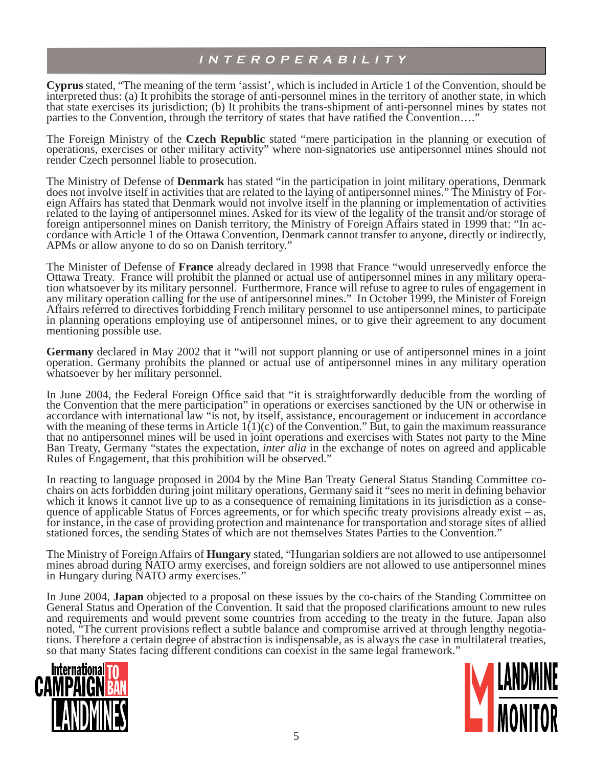**Cyprus** stated, "The meaning of the term 'assist', which is included in Article 1 of the Convention, should be interpreted thus: (a) It prohibits the storage of anti-personnel mines in the territory of another state, in which that state exercises its jurisdiction; (b) It prohibits the trans-shipment of anti-personnel mines by states not parties to the Convention, through the territory of states that have ratified the Convention...."

The Foreign Ministry of the **Czech Republic** stated "mere participation in the planning or execution of operations, exercises or other military activity" where non-signatories use antipersonnel mines should not render Czech personnel liable to prosecution.

The Ministry of Defense of **Denmark** has stated "in the participation in joint military operations, Denmark does not involve itself in activities that are related to the laying of antipersonnel mines." The Ministry of Foreign Affairs has stated that Denmark would not involve itself in the planning or implementation of activities related to the laying of antipersonnel mines. Asked for its view of the legality of the transit and/or storage of foreign antipersonnel mines on Danish territory, the Ministry of Foreign Affairs stated in 1999 that: "In accordance with Article 1 of the Ottawa Convention, Denmark cannot transfer to anyone, directly or indirectly, APMs or allow anyone to do so on Danish territory."

The Minister of Defense of **France** already declared in 1998 that France "would unreservedly enforce the Ottawa Treaty. France will prohibit the planned or actual use of antipersonnel mines in any military operation whatsoever by its military personnel. Furthermore, France will refuse to agree to rules of engagement in any military operation calling for the use of antipersonnel mines." In October 1999, the Minister of Foreign Affairs referred to directives forbidding French military personnel to use antipersonnel mines, to participate in planning operations employing use of antipersonnel mines, or to give their agreement to any document mentioning possible use.

**Germany** declared in May 2002 that it "will not support planning or use of antipersonnel mines in a joint operation. Germany prohibits the planned or actual use of antipersonnel mines in any military operation whatsoever by her military personnel.

In June 2004, the Federal Foreign Office said that "it is straightforwardly deducible from the wording of the Convention that the mere participation" in operations or exercises sanctioned by the UN or otherwise in accordance with international law "is not, by itself, assistance, encouragement or inducement in accordance with the meaning of these terms in Article  $1(1)(c)$  of the Convention." But, to gain the maximum reassurance that no antipersonnel mines will be used in joint operations and exercises with States not party to the Mine Ban Treaty, Germany "states the expectation, *inter alia* in the exchange of notes on agreed and applicable Rules of Engagement, that this prohibition will be observed."

In reacting to language proposed in 2004 by the Mine Ban Treaty General Status Standing Committee cochairs on acts forbidden during joint military operations, Germany said it "sees no merit in defining behavior which it knows it cannot live up to as a consequence of remaining limitations in its jurisdiction as a consequence of applicable Status of Forces agreements, or for which specific treaty provisions already exist – as, for instance, in the case of providing protection and maintenance for transportation and storage sites of allied stationed forces, the sending States of which are not themselves States Parties to the Convention."

The Ministry of Foreign Affairs of **Hungary** stated, "Hungarian soldiers are not allowed to use antipersonnel mines abroad during NATO army exercises, and foreign soldiers are not allowed to use antipersonnel mines in Hungary during NATO army exercises."

In June 2004, **Japan** objected to a proposal on these issues by the co-chairs of the Standing Committee on General Status and Operation of the Convention. It said that the proposed clarifications amount to new rules and requirements and would prevent some countries from acceding to the treaty in the future. Japan also noted, "The current provisions reflect a subtle balance and compromise arrived at through lengthy negotiations. Therefore a certain degree of abstraction is indispensable, as is always the case in multilateral treaties, so that many States facing different conditions can coexist in the same legal framework."



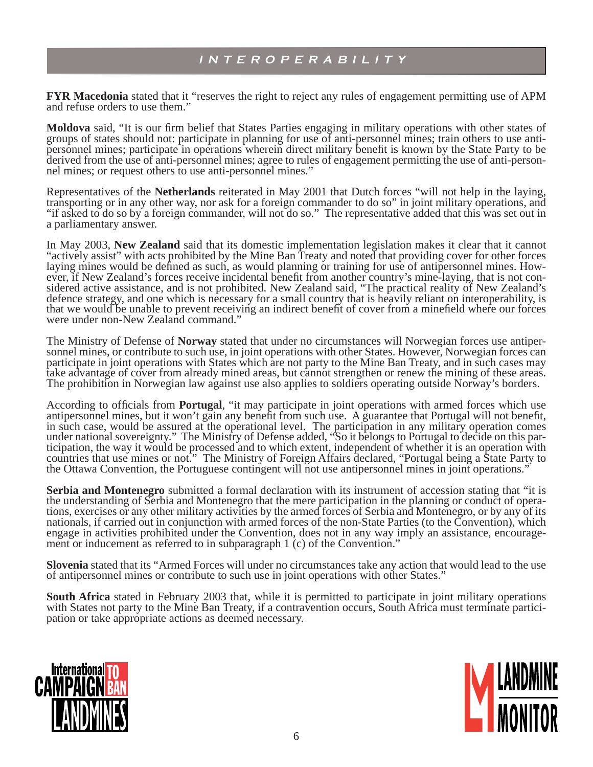**FYR Macedonia** stated that it "reserves the right to reject any rules of engagement permitting use of APM and refuse orders to use them."

**Moldova** said, "It is our firm belief that States Parties engaging in military operations with other states of groups of states should not: participate in planning for use of anti-personnel mines; train others to use antipersonnel mines; participate in operations wherein direct military benefi t is known by the State Party to be derived from the use of anti-personnel mines; agree to rules of engagement permitting the use of anti-personnel mines; or request others to use anti-personnel mines."

Representatives of the **Netherlands** reiterated in May 2001 that Dutch forces "will not help in the laying, transporting or in any other way, nor ask for a foreign commander to do so" in joint military operations, and "if asked to do so by a foreign commander, will not do so." The representative added that this was set out in a parliamentary answer.

In May 2003, **New Zealand** said that its domestic implementation legislation makes it clear that it cannot "actively assist" with acts prohibited by the Mine Ban Treaty and noted that providing cover for other forces laying mines would be defined as such, as would planning or training for use of antipersonnel mines. However, if New Zealand's forces receive incidental benefit from another country's mine-laying, that is not considered active assistance, and is not prohibited. New Zealand said, "The practical reality of New Zealand's defence strategy, and one which is necessary for a small country that is heavily reliant on interoperability, is that we would be unable to prevent receiving an indirect benefit of cover from a minefield where our forces were under non-New Zealand command."

The Ministry of Defense of **Norway** stated that under no circumstances will Norwegian forces use antipersonnel mines, or contribute to such use, in joint operations with other States. However, Norwegian forces can participate in joint operations with States which are not party to the Mine Ban Treaty, and in such cases may take advantage of cover from already mined areas, but cannot strengthen or renew the mining of these areas. The prohibition in Norwegian law against use also applies to soldiers operating outside Norway's borders.

According to officials from **Portugal**, "it may participate in joint operations with armed forces which use antipersonnel mines, but it won't gain any benefit from such use. A guarantee that Portugal will not benefit, in such case, would be assured at the operational level. The participation in any military operation comes under national sovereignty." The Ministry of Defense added, "So it belongs to Portugal to decide on this participation, the way it would be processed and to which extent, independent of whether it is an operation with countries that use mines or not." The Ministry of Foreign Affairs declared, "Portugal being a State Party to the Ottawa Convention, the Portuguese contingent will not use antipersonnel mines in joint operations."

**Serbia and Montenegro** submitted a formal declaration with its instrument of accession stating that "it is the understanding of Serbia and Montenegro that the mere participation in the planning or conduct of operations, exercises or any other military activities by the armed forces of Serbia and Montenegro, or by any of its nationals, if carried out in conjunction with armed forces of the non-State Parties (to the Convention), which engage in activities prohibited under the Convention, does not in any way imply an assistance, encouragement or inducement as referred to in subparagraph 1 (c) of the Convention."

**Slovenia** stated that its "Armed Forces will under no circumstances take any action that would lead to the use of antipersonnel mines or contribute to such use in joint operations with other States."

**South Africa** stated in February 2003 that, while it is permitted to participate in joint military operations with States not party to the Mine Ban Treaty, if a contravention occurs, South Africa must terminate participation or take appropriate actions as deemed necessary.